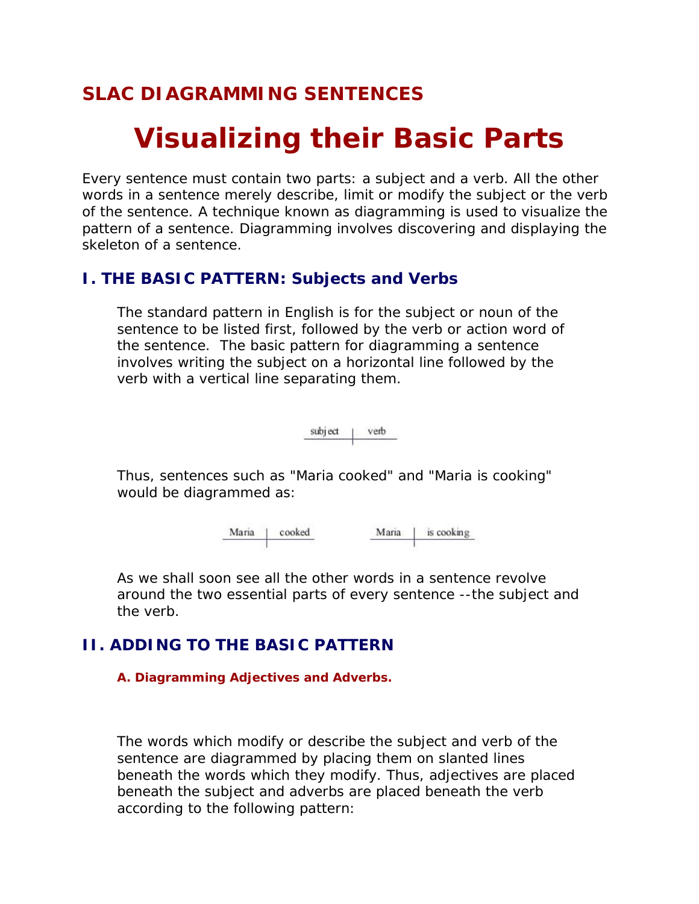## **SLAC DIAGRAMMING SENTENCES**

# **Visualizing their Basic Parts**

Every sentence must contain two parts: a subject and a verb. All the other words in a sentence merely describe, limit or modify the subject or the verb of the sentence. A technique known as diagramming is used to visualize the pattern of a sentence. Diagramming involves discovering and displaying the skeleton of a sentence.

## *I. THE BASIC PATTERN: Subjects and Verbs*

The standard pattern in English is for the subject or noun of the sentence to be listed first, followed by the verb or action word of the sentence. The basic pattern for diagramming a sentence involves writing the subject on a horizontal line followed by the verb with a vertical line separating them.

> subject verb

Thus, sentences such as "Maria cooked" and "Maria is cooking" would be diagrammed as:

> cooked is cooking Maria Maria

As we shall soon see all the other words in a sentence revolve around the two essential parts of every sentence --the subject and the verb.

## *II. ADDING TO THE BASIC PATTERN*

### **A. Diagramming Adjectives and Adverbs.**

The words which modify or describe the subject and verb of the sentence are diagrammed by placing them on slanted lines beneath the words which they modify. Thus, adjectives are placed beneath the subject and adverbs are placed beneath the verb according to the following pattern: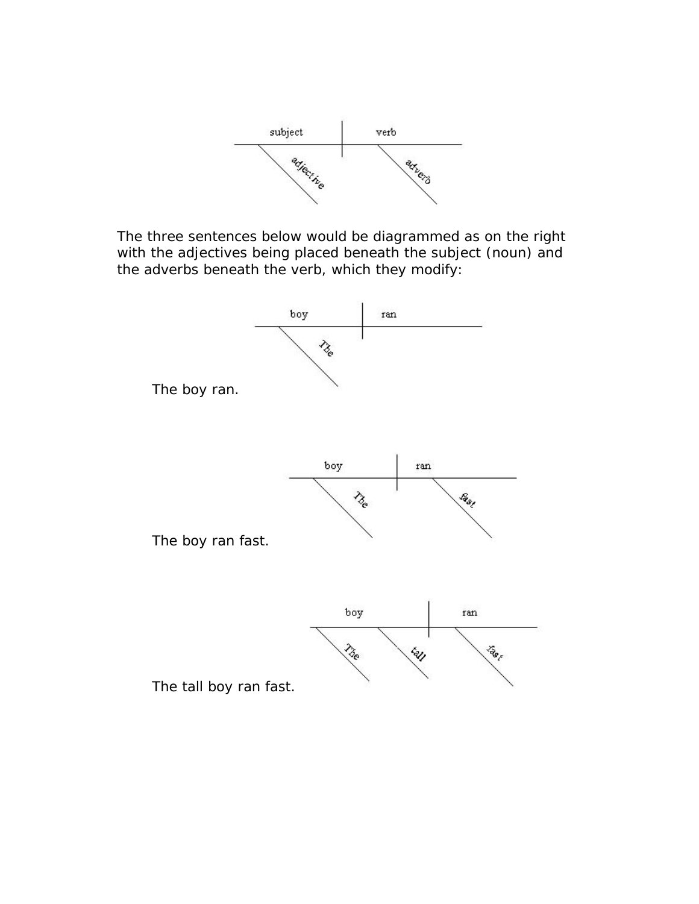

The three sentences below would be diagrammed as on the right with the adjectives being placed beneath the subject (noun) and the adverbs beneath the verb, which they modify:

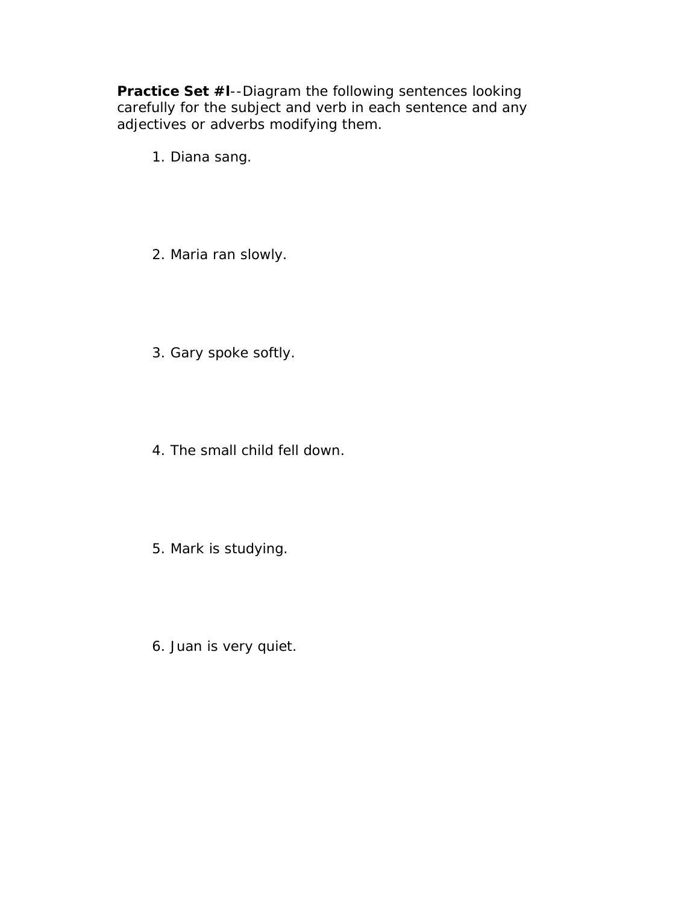**Practice Set #l**--Diagram the following sentences looking carefully for the subject and verb in each sentence and any adjectives or adverbs modifying them.

- 1. Diana sang.
- 2. Maria ran slowly.
- 3. Gary spoke softly.
- 4. The small child fell down.
- 5. Mark is studying.
- 6. Juan is very quiet.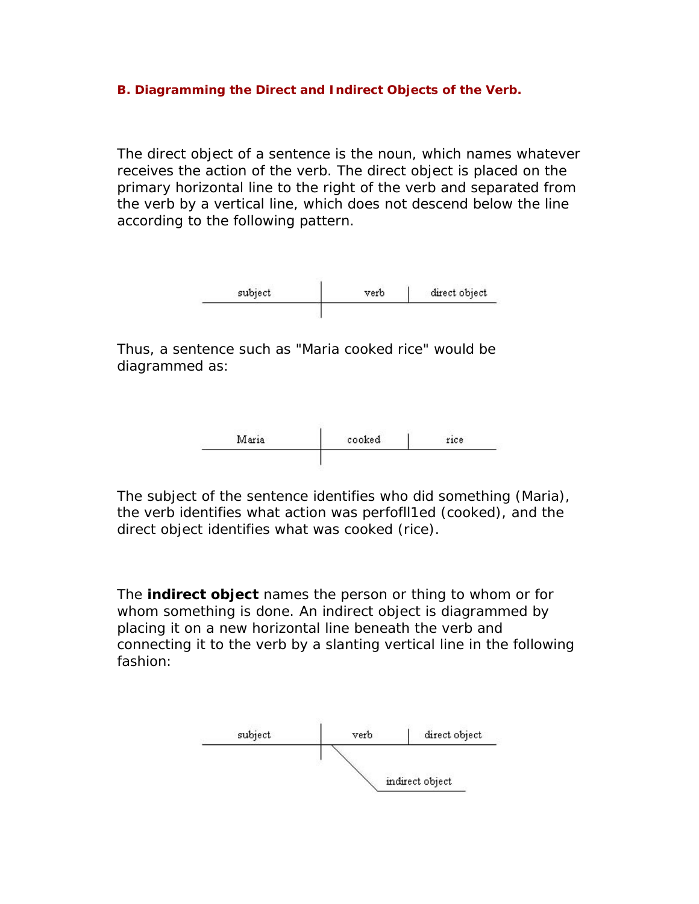#### **B. Diagramming the Direct and Indirect Objects of the Verb.**

The direct object of a sentence is the noun, which names whatever receives the action of the verb. The direct object is placed on the primary horizontal line to the right of the verb and separated from the verb by a vertical line, which does not descend below the line according to the following pattern.



Thus, a sentence such as "Maria cooked rice" would be diagrammed as:



The subject of the sentence identifies *who* did something (Maria), the verb identifies *what action* was perfofll1ed (cooked), and the direct object identifies *what was cooked* (rice).

The **indirect object** names the person or thing to whom or for whom something is done. An indirect object is diagrammed by placing it on a new horizontal line beneath the verb and connecting it to the verb by a slanting vertical line in the following fashion:

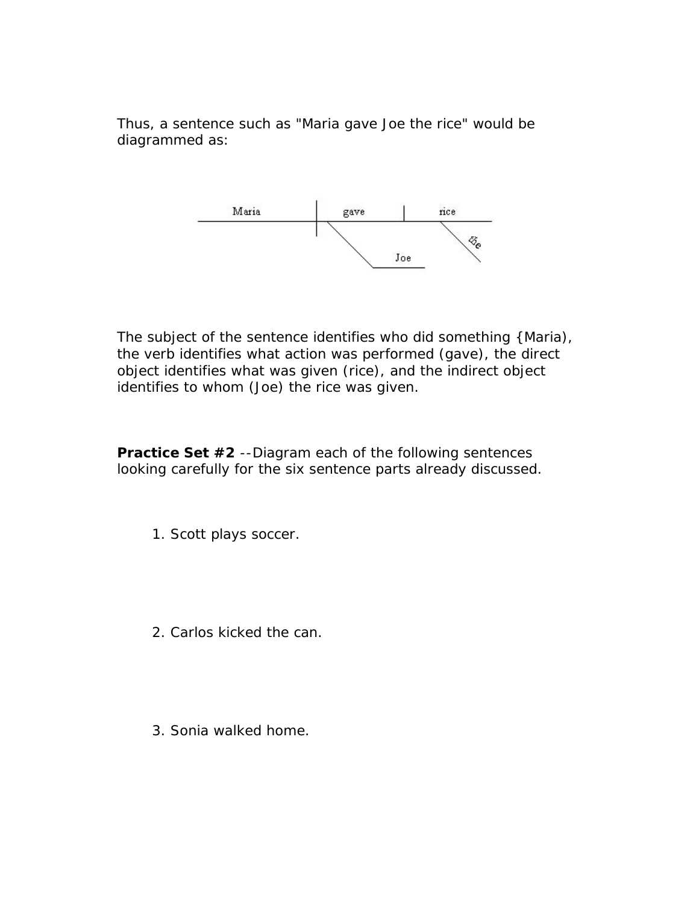Thus, a sentence such as "Maria gave Joe the rice" would be diagrammed as:



The subject of the sentence identifies *who* did something {Maria), the verb identifies *what action* was performed (gave), the direct object identifies *what was given* (rice), and the indirect object identifies *to whom* (Joe) the rice was given.

**Practice Set #2** --Diagram each of the following sentences looking carefully for the six sentence parts already discussed.

- 1. Scott plays soccer.
- 2. Carlos kicked the can.
- 3. Sonia walked home.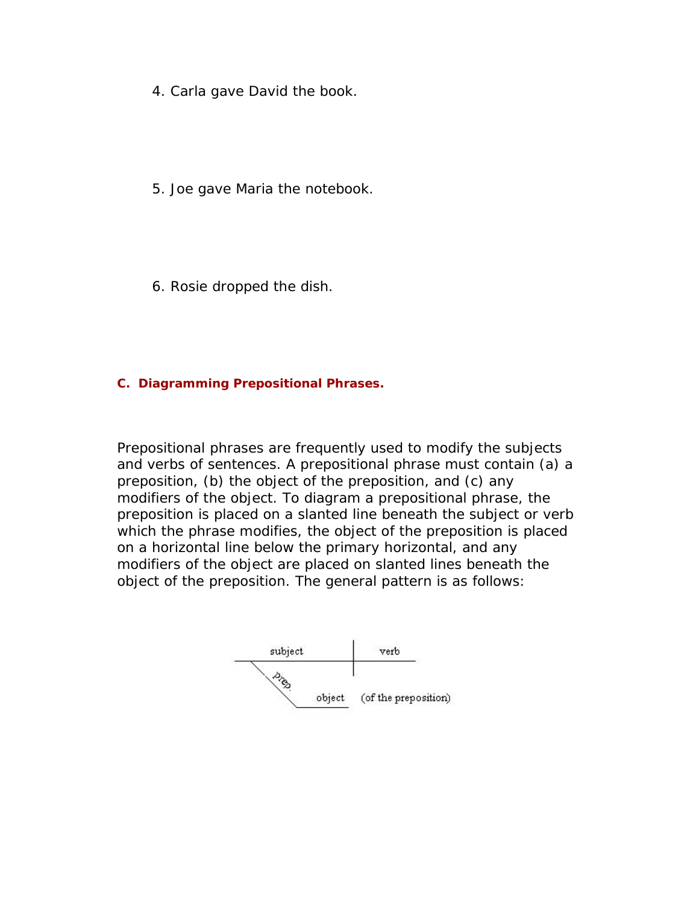- 4. Carla gave David the book.
- 5. Joe gave Maria the notebook.
- 6. Rosie dropped the dish.

#### **C. Diagramming Prepositional Phrases.**

Prepositional phrases are frequently used to modify the subjects and verbs of sentences. A prepositional phrase must contain (a) a preposition, (b) the object of the preposition, and (c) any modifiers of the object. To diagram a prepositional phrase, the preposition is placed on a slanted line beneath the subject or verb which the phrase modifies, the object of the preposition is placed on a horizontal line below the primary horizontal, and any modifiers of the object are placed on slanted lines beneath the object of the preposition. The general pattern is as follows:

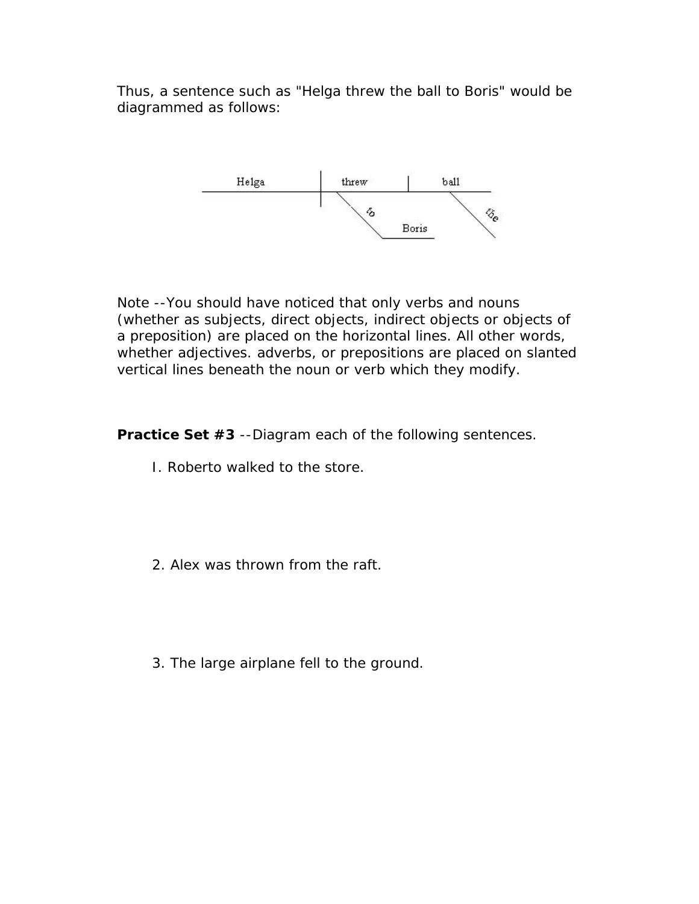Thus, a sentence such as "Helga threw the ball to Boris" would be diagrammed as follows:



Note --You should have noticed that only verbs and nouns (whether as subjects, direct objects, indirect objects or objects of a preposition) are placed on the horizontal lines. All other words, whether adjectives. adverbs, or prepositions are placed on slanted vertical lines beneath the noun or verb which they modify.

**Practice Set #3** --Diagram each of the following sentences.

- I. Roberto walked to the store.
- 2. Alex was thrown from the raft.
- 3. The large airplane fell to the ground.